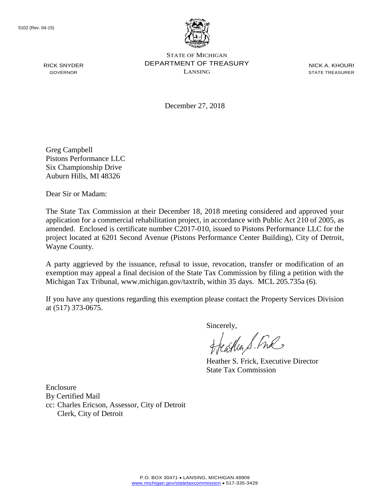

NICK A. KHOURI STATE TREASURER

December 27, 2018

Greg Campbell Pistons Performance LLC Six Championship Drive Auburn Hills, MI 48326

Dear Sir or Madam:

The State Tax Commission at their December 18, 2018 meeting considered and approved your application for a commercial rehabilitation project, in accordance with Public Act 210 of 2005, as amended. Enclosed is certificate number C2017-010, issued to Pistons Performance LLC for the project located at 6201 Second Avenue (Pistons Performance Center Building), City of Detroit, Wayne County.

A party aggrieved by the issuance, refusal to issue, revocation, transfer or modification of an exemption may appeal a final decision of the State Tax Commission by filing a petition with the Michigan Tax Tribunal, www.michigan.gov/taxtrib, within 35 days. MCL 205.735a (6).

If you have any questions regarding this exemption please contact the Property Services Division at (517) 373-0675.

Sincerely,

eagher S. Free

Heather S. Frick, Executive Director State Tax Commission

Enclosure By Certified Mail cc: Charles Ericson, Assessor, City of Detroit Clerk, City of Detroit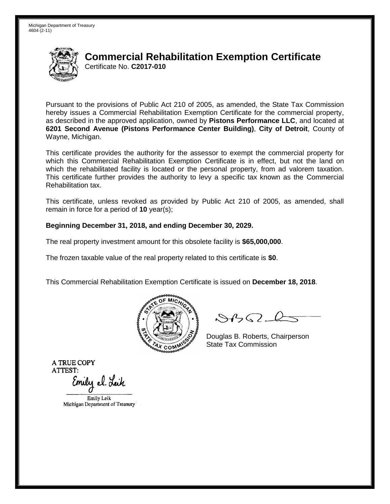

Pursuant to the provisions of Public Act 210 of 2005, as amended, the State Tax Commission hereby issues a Commercial Rehabilitation Exemption Certificate for the commercial property, as described in the approved application, owned by **Pistons Performance LLC**, and located at **6201 Second Avenue (Pistons Performance Center Building)**, **City of Detroit**, County of Wayne, Michigan.

This certificate provides the authority for the assessor to exempt the commercial property for which this Commercial Rehabilitation Exemption Certificate is in effect, but not the land on which the rehabilitated facility is located or the personal property, from ad valorem taxation. This certificate further provides the authority to levy a specific tax known as the Commercial Rehabilitation tax.

This certificate, unless revoked as provided by Public Act 210 of 2005, as amended, shall remain in force for a period of **10** year(s);

#### **Beginning December 31, 2018, and ending December 30, 2029.**

The real property investment amount for this obsolete facility is **\$65,000,000**.

The frozen taxable value of the real property related to this certificate is **\$0**.

This Commercial Rehabilitation Exemption Certificate is issued on **December 18, 2018**.



 $84562-6$ 

Douglas B. Roberts, Chairperson State Tax Commission

Emily el. Leik

Emily Leik Michigan Department of Treasury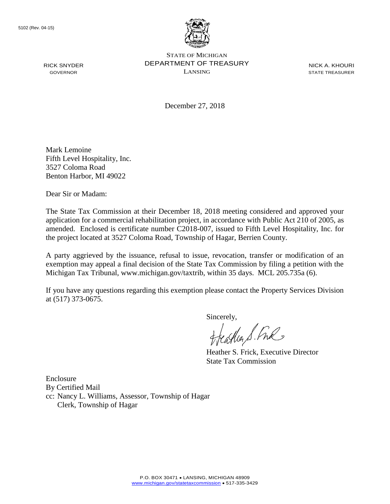

STATE OF MICHIGAN DEPARTMENT OF TREASURY LANSING

NICK A. KHOURI STATE TREASURER

December 27, 2018

Mark Lemoine Fifth Level Hospitality, Inc. 3527 Coloma Road Benton Harbor, MI 49022

Dear Sir or Madam:

The State Tax Commission at their December 18, 2018 meeting considered and approved your application for a commercial rehabilitation project, in accordance with Public Act 210 of 2005, as amended. Enclosed is certificate number C2018-007, issued to Fifth Level Hospitality, Inc. for the project located at 3527 Coloma Road, Township of Hagar, Berrien County.

A party aggrieved by the issuance, refusal to issue, revocation, transfer or modification of an exemption may appeal a final decision of the State Tax Commission by filing a petition with the Michigan Tax Tribunal, www.michigan.gov/taxtrib, within 35 days. MCL 205.735a (6).

If you have any questions regarding this exemption please contact the Property Services Division at (517) 373-0675.

Sincerely,

Heather S. Fre

Heather S. Frick, Executive Director State Tax Commission

Enclosure By Certified Mail cc: Nancy L. Williams, Assessor, Township of Hagar Clerk, Township of Hagar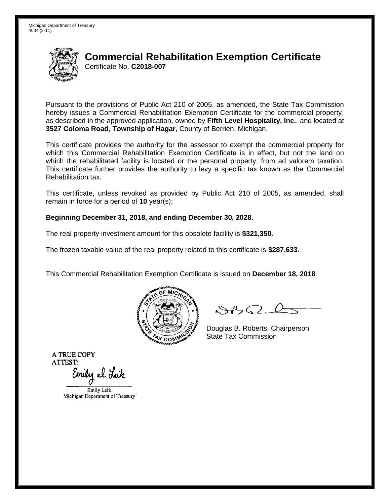

Pursuant to the provisions of Public Act 210 of 2005, as amended, the State Tax Commission hereby issues a Commercial Rehabilitation Exemption Certificate for the commercial property, as described in the approved application, owned by **Fifth Level Hospitality, Inc.**, and located at **3527 Coloma Road**, **Township of Hagar**, County of Berrien, Michigan.

This certificate provides the authority for the assessor to exempt the commercial property for which this Commercial Rehabilitation Exemption Certificate is in effect, but not the land on which the rehabilitated facility is located or the personal property, from ad valorem taxation. This certificate further provides the authority to levy a specific tax known as the Commercial Rehabilitation tax.

This certificate, unless revoked as provided by Public Act 210 of 2005, as amended, shall remain in force for a period of **10** year(s);

#### **Beginning December 31, 2018, and ending December 30, 2028.**

The real property investment amount for this obsolete facility is **\$321,350**.

The frozen taxable value of the real property related to this certificate is **\$287,633**.

This Commercial Rehabilitation Exemption Certificate is issued on **December 18, 2018**.



 $84562-6$ 

Douglas B. Roberts, Chairperson State Tax Commission

Emily Leik Michigan Department of Treasury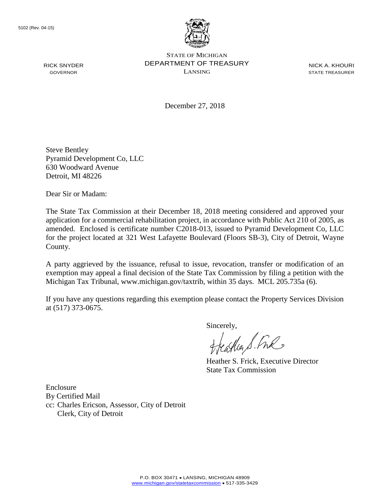

NICK A. KHOURI STATE TREASURER

December 27, 2018

Steve Bentley Pyramid Development Co, LLC 630 Woodward Avenue Detroit, MI 48226

Dear Sir or Madam:

The State Tax Commission at their December 18, 2018 meeting considered and approved your application for a commercial rehabilitation project, in accordance with Public Act 210 of 2005, as amended. Enclosed is certificate number C2018-013, issued to Pyramid Development Co, LLC for the project located at 321 West Lafayette Boulevard (Floors SB-3), City of Detroit, Wayne County.

A party aggrieved by the issuance, refusal to issue, revocation, transfer or modification of an exemption may appeal a final decision of the State Tax Commission by filing a petition with the Michigan Tax Tribunal, www.michigan.gov/taxtrib, within 35 days. MCL 205.735a (6).

If you have any questions regarding this exemption please contact the Property Services Division at (517) 373-0675.

Sincerely,

caller S. Free

Heather S. Frick, Executive Director State Tax Commission

Enclosure By Certified Mail cc: Charles Ericson, Assessor, City of Detroit Clerk, City of Detroit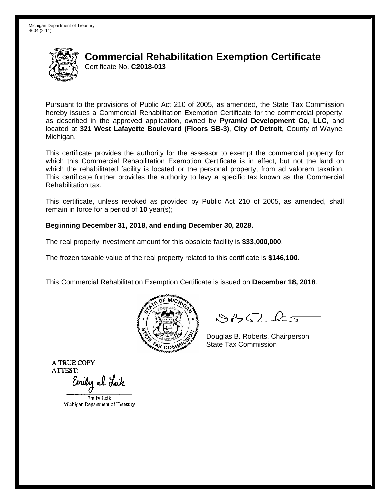

Pursuant to the provisions of Public Act 210 of 2005, as amended, the State Tax Commission hereby issues a Commercial Rehabilitation Exemption Certificate for the commercial property, as described in the approved application, owned by **Pyramid Development Co, LLC**, and located at **321 West Lafayette Boulevard (Floors SB-3)**, **City of Detroit**, County of Wayne, Michigan.

This certificate provides the authority for the assessor to exempt the commercial property for which this Commercial Rehabilitation Exemption Certificate is in effect, but not the land on which the rehabilitated facility is located or the personal property, from ad valorem taxation. This certificate further provides the authority to levy a specific tax known as the Commercial Rehabilitation tax.

This certificate, unless revoked as provided by Public Act 210 of 2005, as amended, shall remain in force for a period of **10** year(s);

### **Beginning December 31, 2018, and ending December 30, 2028.**

The real property investment amount for this obsolete facility is **\$33,000,000**.

The frozen taxable value of the real property related to this certificate is **\$146,100**.

This Commercial Rehabilitation Exemption Certificate is issued on **December 18, 2018**.



 $84562-6$ 

Douglas B. Roberts, Chairperson State Tax Commission

Emily el. Leik

Emily Leik Michigan Department of Treasury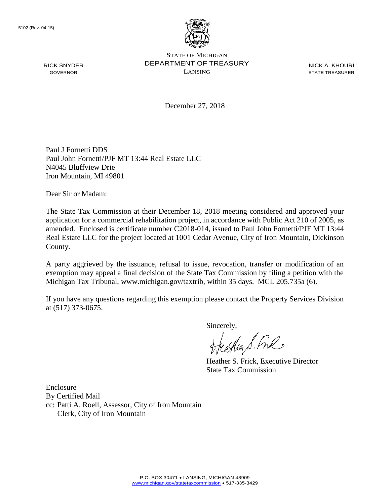

NICK A. KHOURI STATE TREASURER

December 27, 2018

Paul J Fornetti DDS Paul John Fornetti/PJF MT 13:44 Real Estate LLC N4045 Bluffview Drie Iron Mountain, MI 49801

Dear Sir or Madam:

The State Tax Commission at their December 18, 2018 meeting considered and approved your application for a commercial rehabilitation project, in accordance with Public Act 210 of 2005, as amended. Enclosed is certificate number C2018-014, issued to Paul John Fornetti/PJF MT 13:44 Real Estate LLC for the project located at 1001 Cedar Avenue, City of Iron Mountain, Dickinson County.

A party aggrieved by the issuance, refusal to issue, revocation, transfer or modification of an exemption may appeal a final decision of the State Tax Commission by filing a petition with the Michigan Tax Tribunal, www.michigan.gov/taxtrib, within 35 days. MCL 205.735a (6).

If you have any questions regarding this exemption please contact the Property Services Division at (517) 373-0675.

Sincerely,

eagher S. Free

Heather S. Frick, Executive Director State Tax Commission

Enclosure By Certified Mail cc: Patti A. Roell, Assessor, City of Iron Mountain Clerk, City of Iron Mountain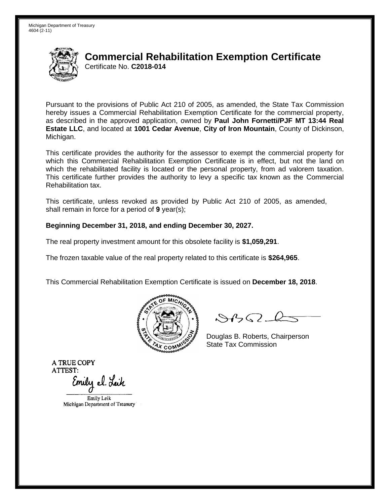

Pursuant to the provisions of Public Act 210 of 2005, as amended, the State Tax Commission hereby issues a Commercial Rehabilitation Exemption Certificate for the commercial property, as described in the approved application, owned by **Paul John Fornetti/PJF MT 13:44 Real Estate LLC**, and located at **1001 Cedar Avenue**, **City of Iron Mountain**, County of Dickinson, Michigan.

This certificate provides the authority for the assessor to exempt the commercial property for which this Commercial Rehabilitation Exemption Certificate is in effect, but not the land on which the rehabilitated facility is located or the personal property, from ad valorem taxation. This certificate further provides the authority to levy a specific tax known as the Commercial Rehabilitation tax.

This certificate, unless revoked as provided by Public Act 210 of 2005, as amended, shall remain in force for a period of **9** year(s);

#### **Beginning December 31, 2018, and ending December 30, 2027.**

The real property investment amount for this obsolete facility is **\$1,059,291**.

The frozen taxable value of the real property related to this certificate is **\$264,965**.

This Commercial Rehabilitation Exemption Certificate is issued on **December 18, 2018**.



 $84562-6$ 

Douglas B. Roberts, Chairperson State Tax Commission

Emily el. Leik

Emily Leik Michigan Department of Treasury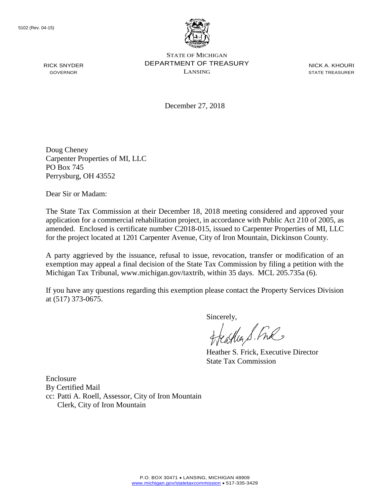

STATE OF MICHIGAN DEPARTMENT OF TREASURY LANSING

NICK A. KHOURI STATE TREASURER

December 27, 2018

Doug Cheney Carpenter Properties of MI, LLC PO Box 745 Perrysburg, OH 43552

Dear Sir or Madam:

The State Tax Commission at their December 18, 2018 meeting considered and approved your application for a commercial rehabilitation project, in accordance with Public Act 210 of 2005, as amended. Enclosed is certificate number C2018-015, issued to Carpenter Properties of MI, LLC for the project located at 1201 Carpenter Avenue, City of Iron Mountain, Dickinson County.

A party aggrieved by the issuance, refusal to issue, revocation, transfer or modification of an exemption may appeal a final decision of the State Tax Commission by filing a petition with the Michigan Tax Tribunal, www.michigan.gov/taxtrib, within 35 days. MCL 205.735a (6).

If you have any questions regarding this exemption please contact the Property Services Division at (517) 373-0675.

Sincerely,

Heather S. Fre

Heather S. Frick, Executive Director State Tax Commission

Enclosure By Certified Mail cc: Patti A. Roell, Assessor, City of Iron Mountain Clerk, City of Iron Mountain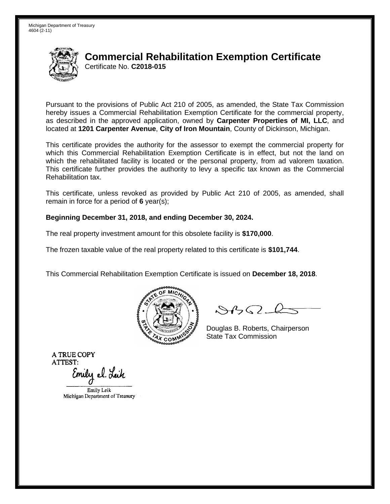

Pursuant to the provisions of Public Act 210 of 2005, as amended, the State Tax Commission hereby issues a Commercial Rehabilitation Exemption Certificate for the commercial property, as described in the approved application, owned by **Carpenter Properties of MI, LLC**, and located at **1201 Carpenter Avenue**, **City of Iron Mountain**, County of Dickinson, Michigan.

This certificate provides the authority for the assessor to exempt the commercial property for which this Commercial Rehabilitation Exemption Certificate is in effect, but not the land on which the rehabilitated facility is located or the personal property, from ad valorem taxation. This certificate further provides the authority to levy a specific tax known as the Commercial Rehabilitation tax.

This certificate, unless revoked as provided by Public Act 210 of 2005, as amended, shall remain in force for a period of **6** year(s);

#### **Beginning December 31, 2018, and ending December 30, 2024.**

The real property investment amount for this obsolete facility is **\$170,000**.

The frozen taxable value of the real property related to this certificate is **\$101,744**.

This Commercial Rehabilitation Exemption Certificate is issued on **December 18, 2018**.



 $84562-6$ 

Douglas B. Roberts, Chairperson State Tax Commission

Emily el. Leik

Emily Leik Michigan Department of Treasury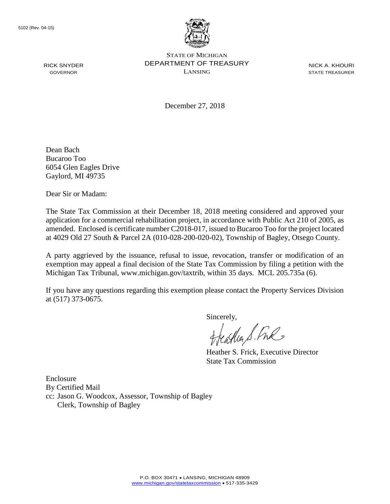

STATE OF MICHIGAN DEPARTMENT OF TREASURY LANSING

NICK A. KHOURI STATE TREASURER

December 27, 2018

Dean Bach Bucaroo Too 6054 Glen Eagles Drive Gaylord, MI 49735

Dear Sir or Madam:

The State Tax Commission at their December 18, 2018 meeting considered and approved your application for a commercial rehabilitation project, in accordance with Public Act 210 of 2005, as amended. Enclosed is certificate number C2018-017, issued to Bucaroo Too for the project located at 4029 Old 27 South & Parcel 2A (010-028-200-020-02), Township of Bagley, Otsego County.

A party aggrieved by the issuance, refusal to issue, revocation, transfer or modification of an exemption may appeal a final decision of the State Tax Commission by filing a petition with the Michigan Tax Tribunal, www.michigan.gov/taxtrib, within 35 days. MCL 205.735a (6).

If you have any questions regarding this exemption please contact the Property Services Division at (517) 373-0675.

Sincerely,<br>Heather S. Ful

Heather S. Frick, Executive Director State Tax Commission

Enclosure By Certified Mail cc: Jason G. Woodcox, Assessor, Township of Bagley Clerk, Township of Bagley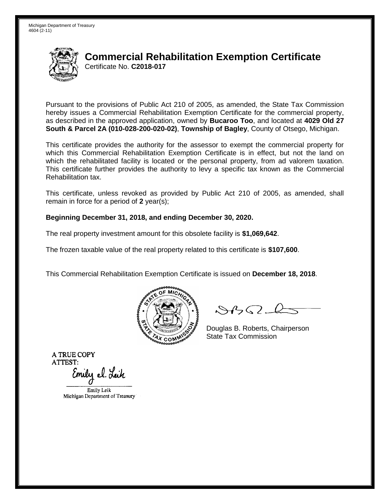

Pursuant to the provisions of Public Act 210 of 2005, as amended, the State Tax Commission hereby issues a Commercial Rehabilitation Exemption Certificate for the commercial property, as described in the approved application, owned by **Bucaroo Too**, and located at **4029 Old 27 South & Parcel 2A (010-028-200-020-02)**, **Township of Bagley**, County of Otsego, Michigan.

This certificate provides the authority for the assessor to exempt the commercial property for which this Commercial Rehabilitation Exemption Certificate is in effect, but not the land on which the rehabilitated facility is located or the personal property, from ad valorem taxation. This certificate further provides the authority to levy a specific tax known as the Commercial Rehabilitation tax.

This certificate, unless revoked as provided by Public Act 210 of 2005, as amended, shall remain in force for a period of **2** year(s);

#### **Beginning December 31, 2018, and ending December 30, 2020.**

The real property investment amount for this obsolete facility is **\$1,069,642**.

The frozen taxable value of the real property related to this certificate is **\$107,600**.

This Commercial Rehabilitation Exemption Certificate is issued on **December 18, 2018**.



 $84562-6$ 

Douglas B. Roberts, Chairperson State Tax Commission

Emily el. Leik

Emily Leik Michigan Department of Treasury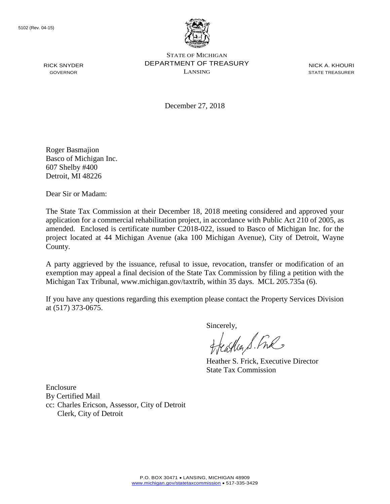

STATE OF MICHIGAN DEPARTMENT OF TREASURY LANSING

NICK A. KHOURI STATE TREASURER

December 27, 2018

Roger Basmajion Basco of Michigan Inc. 607 Shelby #400 Detroit, MI 48226

Dear Sir or Madam:

The State Tax Commission at their December 18, 2018 meeting considered and approved your application for a commercial rehabilitation project, in accordance with Public Act 210 of 2005, as amended. Enclosed is certificate number C2018-022, issued to Basco of Michigan Inc. for the project located at 44 Michigan Avenue (aka 100 Michigan Avenue), City of Detroit, Wayne County.

A party aggrieved by the issuance, refusal to issue, revocation, transfer or modification of an exemption may appeal a final decision of the State Tax Commission by filing a petition with the Michigan Tax Tribunal, www.michigan.gov/taxtrib, within 35 days. MCL 205.735a (6).

If you have any questions regarding this exemption please contact the Property Services Division at (517) 373-0675.

Sincerely,

Cather S. Free

Heather S. Frick, Executive Director State Tax Commission

Enclosure By Certified Mail cc: Charles Ericson, Assessor, City of Detroit Clerk, City of Detroit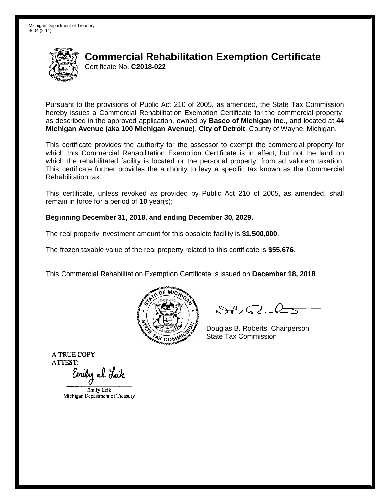

Pursuant to the provisions of Public Act 210 of 2005, as amended, the State Tax Commission hereby issues a Commercial Rehabilitation Exemption Certificate for the commercial property, as described in the approved application, owned by **Basco of Michigan Inc.**, and located at **44 Michigan Avenue (aka 100 Michigan Avenue)**, **City of Detroit**, County of Wayne, Michigan.

This certificate provides the authority for the assessor to exempt the commercial property for which this Commercial Rehabilitation Exemption Certificate is in effect, but not the land on which the rehabilitated facility is located or the personal property, from ad valorem taxation. This certificate further provides the authority to levy a specific tax known as the Commercial Rehabilitation tax.

This certificate, unless revoked as provided by Public Act 210 of 2005, as amended, shall remain in force for a period of **10** year(s);

#### **Beginning December 31, 2018, and ending December 30, 2029.**

The real property investment amount for this obsolete facility is **\$1,500,000**.

The frozen taxable value of the real property related to this certificate is **\$55,676**.

This Commercial Rehabilitation Exemption Certificate is issued on **December 18, 2018**.



 $84562-6$ 

Douglas B. Roberts, Chairperson State Tax Commission

Emily el. Leik

Emily Leik Michigan Department of Treasury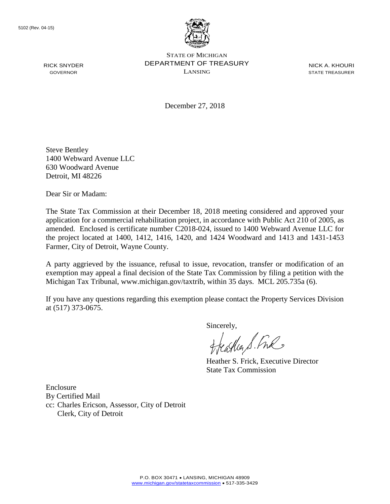

NICK A. KHOURI STATE TREASURER

December 27, 2018

Steve Bentley 1400 Webward Avenue LLC 630 Woodward Avenue Detroit, MI 48226

Dear Sir or Madam:

The State Tax Commission at their December 18, 2018 meeting considered and approved your application for a commercial rehabilitation project, in accordance with Public Act 210 of 2005, as amended. Enclosed is certificate number C2018-024, issued to 1400 Webward Avenue LLC for the project located at 1400, 1412, 1416, 1420, and 1424 Woodward and 1413 and 1431-1453 Farmer, City of Detroit, Wayne County.

A party aggrieved by the issuance, refusal to issue, revocation, transfer or modification of an exemption may appeal a final decision of the State Tax Commission by filing a petition with the Michigan Tax Tribunal, www.michigan.gov/taxtrib, within 35 days. MCL 205.735a (6).

If you have any questions regarding this exemption please contact the Property Services Division at (517) 373-0675.

Sincerely,

eagher S. Free

Heather S. Frick, Executive Director State Tax Commission

Enclosure By Certified Mail cc: Charles Ericson, Assessor, City of Detroit Clerk, City of Detroit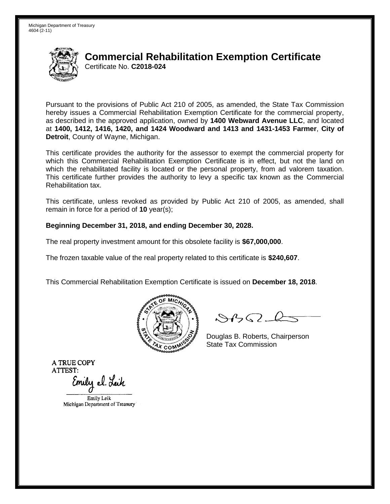

Pursuant to the provisions of Public Act 210 of 2005, as amended, the State Tax Commission hereby issues a Commercial Rehabilitation Exemption Certificate for the commercial property, as described in the approved application, owned by **1400 Webward Avenue LLC**, and located at **1400, 1412, 1416, 1420, and 1424 Woodward and 1413 and 1431-1453 Farmer**, **City of Detroit**, County of Wayne, Michigan.

This certificate provides the authority for the assessor to exempt the commercial property for which this Commercial Rehabilitation Exemption Certificate is in effect, but not the land on which the rehabilitated facility is located or the personal property, from ad valorem taxation. This certificate further provides the authority to levy a specific tax known as the Commercial Rehabilitation tax.

This certificate, unless revoked as provided by Public Act 210 of 2005, as amended, shall remain in force for a period of **10** year(s);

#### **Beginning December 31, 2018, and ending December 30, 2028.**

The real property investment amount for this obsolete facility is **\$67,000,000**.

The frozen taxable value of the real property related to this certificate is **\$240,607**.

This Commercial Rehabilitation Exemption Certificate is issued on **December 18, 2018**.



 $84562-6$ 

Douglas B. Roberts, Chairperson State Tax Commission

Emily el. Leik

Emily Leik Michigan Department of Treasury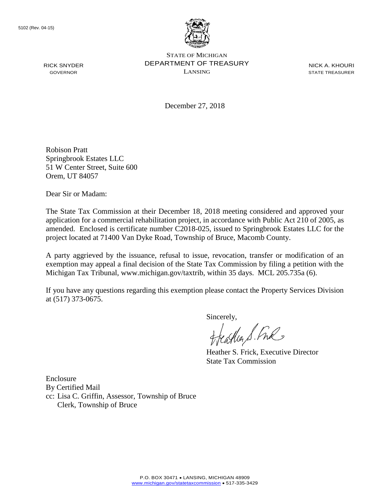

STATE OF MICHIGAN DEPARTMENT OF TREASURY LANSING

NICK A. KHOURI STATE TREASURER

December 27, 2018

Robison Pratt Springbrook Estates LLC 51 W Center Street, Suite 600 Orem, UT 84057

Dear Sir or Madam:

The State Tax Commission at their December 18, 2018 meeting considered and approved your application for a commercial rehabilitation project, in accordance with Public Act 210 of 2005, as amended. Enclosed is certificate number C2018-025, issued to Springbrook Estates LLC for the project located at 71400 Van Dyke Road, Township of Bruce, Macomb County.

A party aggrieved by the issuance, refusal to issue, revocation, transfer or modification of an exemption may appeal a final decision of the State Tax Commission by filing a petition with the Michigan Tax Tribunal, www.michigan.gov/taxtrib, within 35 days. MCL 205.735a (6).

If you have any questions regarding this exemption please contact the Property Services Division at (517) 373-0675.

Sincerely,<br>freasther S. Free

Heather S. Frick, Executive Director State Tax Commission

Enclosure By Certified Mail cc: Lisa C. Griffin, Assessor, Township of Bruce Clerk, Township of Bruce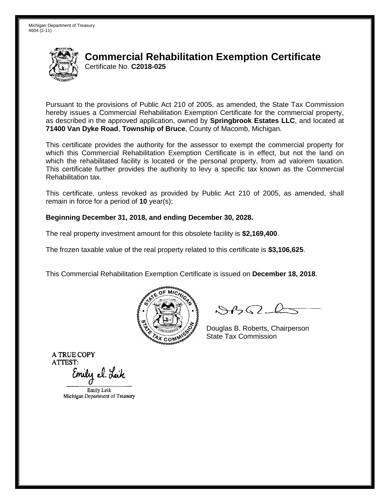

Pursuant to the provisions of Public Act 210 of 2005, as amended, the State Tax Commission hereby issues a Commercial Rehabilitation Exemption Certificate for the commercial property, as described in the approved application, owned by **Springbrook Estates LLC**, and located at **71400 Van Dyke Road**, **Township of Bruce**, County of Macomb, Michigan.

This certificate provides the authority for the assessor to exempt the commercial property for which this Commercial Rehabilitation Exemption Certificate is in effect, but not the land on which the rehabilitated facility is located or the personal property, from ad valorem taxation. This certificate further provides the authority to levy a specific tax known as the Commercial Rehabilitation tax.

This certificate, unless revoked as provided by Public Act 210 of 2005, as amended, shall remain in force for a period of **10** year(s);

#### **Beginning December 31, 2018, and ending December 30, 2028.**

The real property investment amount for this obsolete facility is **\$2,169,400**.

The frozen taxable value of the real property related to this certificate is **\$3,106,625**.

This Commercial Rehabilitation Exemption Certificate is issued on **December 18, 2018**.



 $84562-6$ 

Douglas B. Roberts, Chairperson State Tax Commission

Emily el. Leik

Emily Leik Michigan Department of Treasury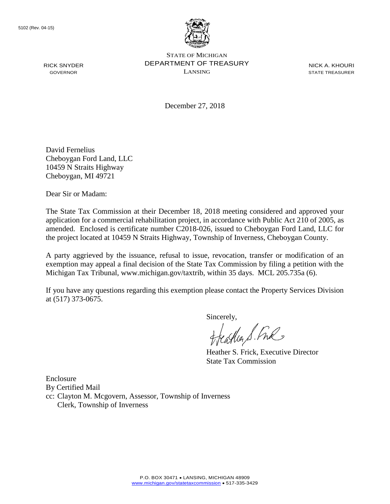

NICK A. KHOURI STATE TREASURER

December 27, 2018

David Fernelius Cheboygan Ford Land, LLC 10459 N Straits Highway Cheboygan, MI 49721

Dear Sir or Madam:

The State Tax Commission at their December 18, 2018 meeting considered and approved your application for a commercial rehabilitation project, in accordance with Public Act 210 of 2005, as amended. Enclosed is certificate number C2018-026, issued to Cheboygan Ford Land, LLC for the project located at 10459 N Straits Highway, Township of Inverness, Cheboygan County.

A party aggrieved by the issuance, refusal to issue, revocation, transfer or modification of an exemption may appeal a final decision of the State Tax Commission by filing a petition with the Michigan Tax Tribunal, www.michigan.gov/taxtrib, within 35 days. MCL 205.735a (6).

If you have any questions regarding this exemption please contact the Property Services Division at (517) 373-0675.

Sincerely,

Heather S. Fre

Heather S. Frick, Executive Director State Tax Commission

Enclosure By Certified Mail cc: Clayton M. Mcgovern, Assessor, Township of Inverness Clerk, Township of Inverness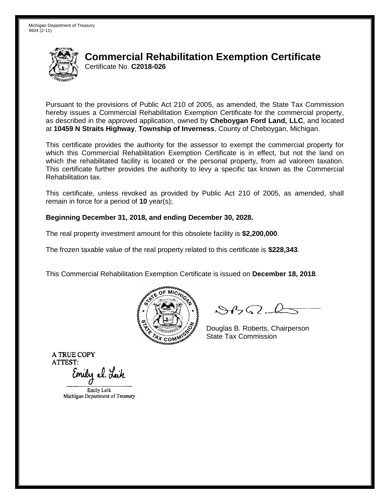

Pursuant to the provisions of Public Act 210 of 2005, as amended, the State Tax Commission hereby issues a Commercial Rehabilitation Exemption Certificate for the commercial property, as described in the approved application, owned by **Cheboygan Ford Land, LLC**, and located at **10459 N Straits Highway**, **Township of Inverness**, County of Cheboygan, Michigan.

This certificate provides the authority for the assessor to exempt the commercial property for which this Commercial Rehabilitation Exemption Certificate is in effect, but not the land on which the rehabilitated facility is located or the personal property, from ad valorem taxation. This certificate further provides the authority to levy a specific tax known as the Commercial Rehabilitation tax.

This certificate, unless revoked as provided by Public Act 210 of 2005, as amended, shall remain in force for a period of **10** year(s);

#### **Beginning December 31, 2018, and ending December 30, 2028.**

The real property investment amount for this obsolete facility is **\$2,200,000**.

The frozen taxable value of the real property related to this certificate is **\$228,343**.

This Commercial Rehabilitation Exemption Certificate is issued on **December 18, 2018**.



 $84562-6$ 

Douglas B. Roberts, Chairperson State Tax Commission

Emily el. Leik

Emily Leik Michigan Department of Treasury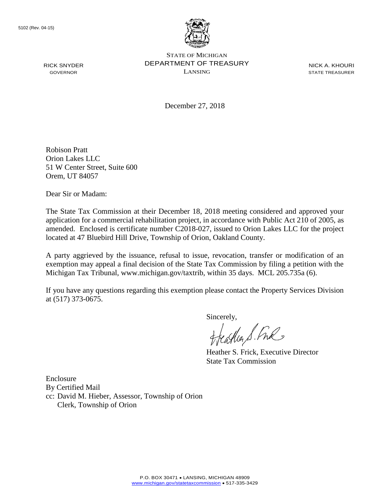

STATE OF MICHIGAN DEPARTMENT OF TREASURY LANSING

NICK A. KHOURI STATE TREASURER

December 27, 2018

Robison Pratt Orion Lakes LLC 51 W Center Street, Suite 600 Orem, UT 84057

Dear Sir or Madam:

The State Tax Commission at their December 18, 2018 meeting considered and approved your application for a commercial rehabilitation project, in accordance with Public Act 210 of 2005, as amended. Enclosed is certificate number C2018-027, issued to Orion Lakes LLC for the project located at 47 Bluebird Hill Drive, Township of Orion, Oakland County.

A party aggrieved by the issuance, refusal to issue, revocation, transfer or modification of an exemption may appeal a final decision of the State Tax Commission by filing a petition with the Michigan Tax Tribunal, www.michigan.gov/taxtrib, within 35 days. MCL 205.735a (6).

If you have any questions regarding this exemption please contact the Property Services Division at (517) 373-0675.

Sincerely,

Heather S. Fre

Heather S. Frick, Executive Director State Tax Commission

Enclosure By Certified Mail cc: David M. Hieber, Assessor, Township of Orion Clerk, Township of Orion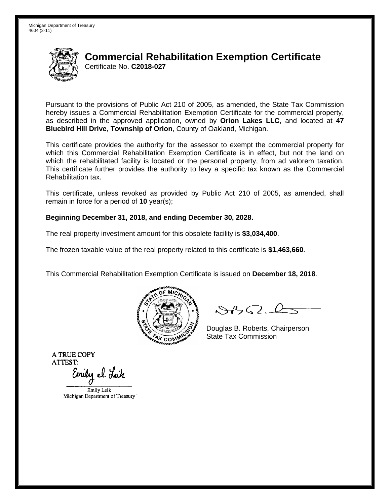

Pursuant to the provisions of Public Act 210 of 2005, as amended, the State Tax Commission hereby issues a Commercial Rehabilitation Exemption Certificate for the commercial property, as described in the approved application, owned by **Orion Lakes LLC**, and located at **47 Bluebird Hill Drive**, **Township of Orion**, County of Oakland, Michigan.

This certificate provides the authority for the assessor to exempt the commercial property for which this Commercial Rehabilitation Exemption Certificate is in effect, but not the land on which the rehabilitated facility is located or the personal property, from ad valorem taxation. This certificate further provides the authority to levy a specific tax known as the Commercial Rehabilitation tax.

This certificate, unless revoked as provided by Public Act 210 of 2005, as amended, shall remain in force for a period of **10** year(s);

#### **Beginning December 31, 2018, and ending December 30, 2028.**

The real property investment amount for this obsolete facility is **\$3,034,400**.

The frozen taxable value of the real property related to this certificate is **\$1,463,660**.

This Commercial Rehabilitation Exemption Certificate is issued on **December 18, 2018**.



 $84562-6$ 

Douglas B. Roberts, Chairperson State Tax Commission

Emily el. Leik

Emily Leik Michigan Department of Treasury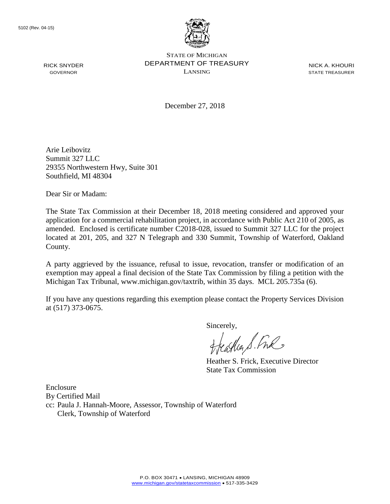

STATE OF MICHIGAN DEPARTMENT OF TREASURY LANSING

NICK A. KHOURI STATE TREASURER

December 27, 2018

Arie Leibovitz Summit 327 LLC 29355 Northwestern Hwy, Suite 301 Southfield, MI 48304

Dear Sir or Madam:

The State Tax Commission at their December 18, 2018 meeting considered and approved your application for a commercial rehabilitation project, in accordance with Public Act 210 of 2005, as amended. Enclosed is certificate number C2018-028, issued to Summit 327 LLC for the project located at 201, 205, and 327 N Telegraph and 330 Summit, Township of Waterford, Oakland County.

A party aggrieved by the issuance, refusal to issue, revocation, transfer or modification of an exemption may appeal a final decision of the State Tax Commission by filing a petition with the Michigan Tax Tribunal, www.michigan.gov/taxtrib, within 35 days. MCL 205.735a (6).

If you have any questions regarding this exemption please contact the Property Services Division at (517) 373-0675.

Sincerely,

casher S. Free

Heather S. Frick, Executive Director State Tax Commission

Enclosure By Certified Mail cc: Paula J. Hannah-Moore, Assessor, Township of Waterford Clerk, Township of Waterford